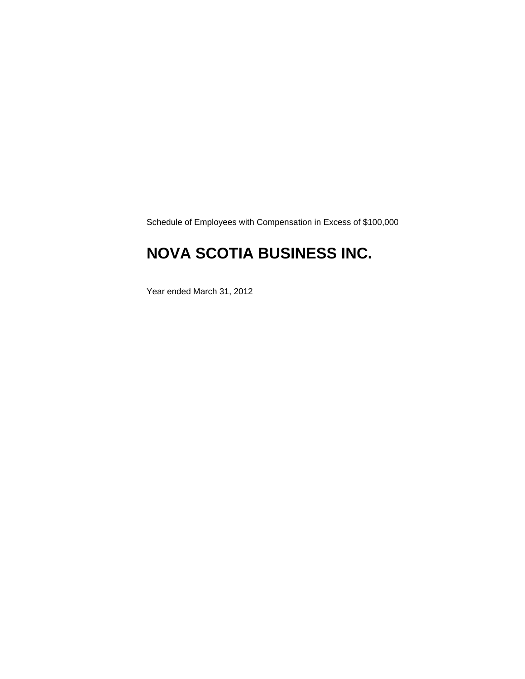Schedule of Employees with Compensation in Excess of \$100,000

# **NOVA SCOTIA BUSINESS INC.**

Year ended March 31, 2012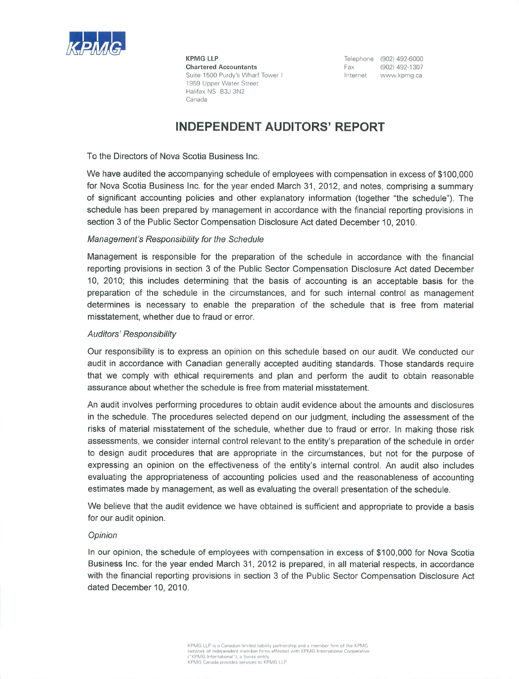

**KPMG LLP Chartered Accountants** Suite 1500 Purdy's Wharf Tower I 1959 Upper Water Street Halifax NS B3J 3N2 Canada

Telephone (902) 492-6000 Fax (902) 492-1307 Internet www.kpmg.ca

# **INDEPENDENT AUDITORS' REPORT**

### To the Directors of Nova Scotia Business Inc.

We have audited the accompanying schedule of employees with compensation in excess of \$100,000 for Nova Scotia Business Inc. for the year ended March 31, 2012, and notes, comprising a summary of significant accounting policies and other explanatory information (together "the schedule"). The schedule has been prepared by management in accordance with the financial reporting provisions in section 3 of the Public Sector Compensation Disclosure Act dated December 10, 2010.

### Management's Responsibility for the Schedule

Management is responsible for the preparation of the schedule in accordance with the financial reporting provisions in section 3 of the Public Sector Compensation Disclosure Act dated December 10, 2010; this includes determining that the basis of accounting is an acceptable basis for the preparation of the schedule in the circumstances, and for such internal control as management determines is necessary to enable the preparation of the schedule that is free from material misstatement, whether due to fraud or error.

### Auditors' Responsibility

Our responsibility is to express an opinion on this schedule based on our audit. We conducted our audit in accordance with Canadian generally accepted auditing standards. Those standards require that we comply with ethical requirements and plan and perform the audit to obtain reasonable assurance about whether the schedule is free from material misstatement.

An audit involves performing procedures to obtain audit evidence about the amounts and disclosures in the schedule. The procedures selected depend on our judgment, including the assessment of the risks of material misstatement of the schedule, whether due to fraud or error. In making those risk assessments, we consider internal control relevant to the entity's preparation of the schedule in order to design audit procedures that are appropriate in the circumstances, but not for the purpose of expressing an opinion on the effectiveness of the entity's internal control. An audit also includes evaluating the appropriateness of accounting policies used and the reasonableness of accounting estimates made by management, as well as evaluating the overall presentation of the schedule.

We believe that the audit evidence we have obtained is sufficient and appropriate to provide a basis for our audit opinion.

### Opinion

In our opinion, the schedule of employees with compensation in excess of \$100,000 for Nova Scotia Business Inc. for the year ended March 31, 2012 is prepared, in all material respects, in accordance with the financial reporting provisions in section 3 of the Public Sector Compensation Disclosure Act dated December 10, 2010.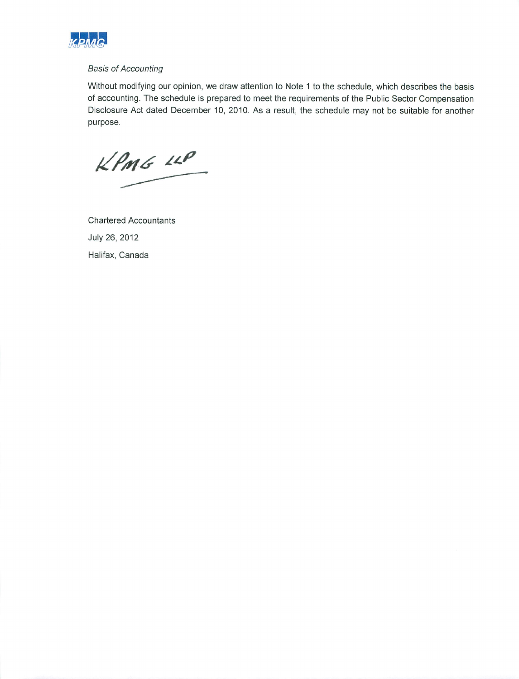

# **Basis of Accounting**

Without modifying our opinion, we draw attention to Note 1 to the schedule, which describes the basis of accounting. The schedule is prepared to meet the requirements of the Public Sector Compensation Disclosure Act dated December 10, 2010. As a result, the schedule may not be suitable for another purpose.

 $kPm6$  14P

**Chartered Accountants** July 26, 2012 Halifax, Canada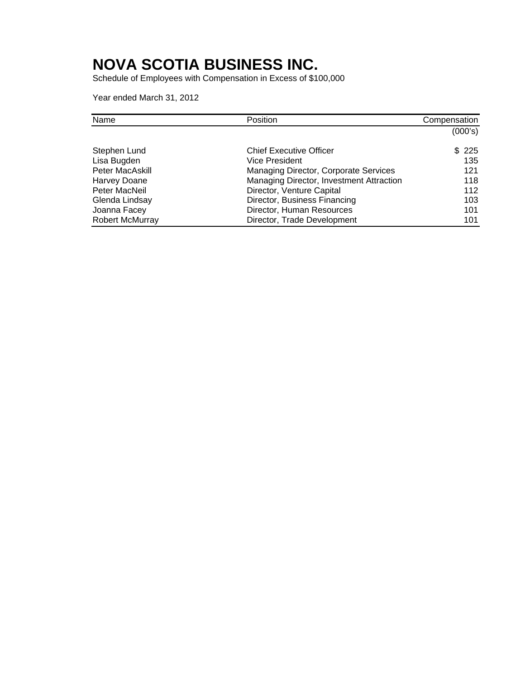# **NOVA SCOTIA BUSINESS INC.**

Schedule of Employees with Compensation in Excess of \$100,000

Year ended March 31, 2012

| Name                   | Position                                 | Compensation |
|------------------------|------------------------------------------|--------------|
|                        |                                          | (000's)      |
| Stephen Lund           | <b>Chief Executive Officer</b>           | \$225        |
| Lisa Bugden            | Vice President                           | 135          |
| Peter MacAskill        | Managing Director, Corporate Services    | 121          |
| Harvey Doane           | Managing Director, Investment Attraction | 118          |
| Peter MacNeil          | Director, Venture Capital                | 112          |
| Glenda Lindsay         | Director, Business Financing             | 103          |
| Joanna Facey           | Director, Human Resources                | 101          |
| <b>Robert McMurray</b> | Director, Trade Development              | 101          |